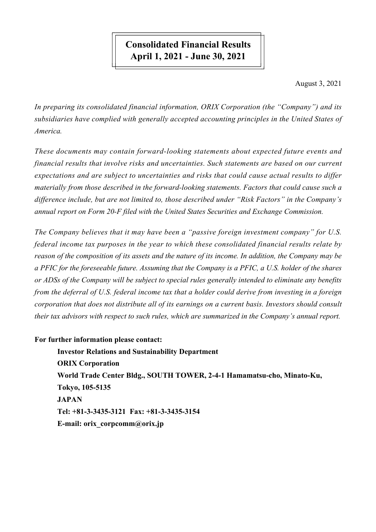# **Consolidated Financial Results April 1, 2021 - June 30, 2021**

August 3, 2021

*In preparing its consolidated financial information, ORIX Corporation (the "Company") and its subsidiaries have complied with generally accepted accounting principles in the United States of America.*

*These documents may contain forward-looking statements about expected future events and financial results that involve risks and uncertainties. Such statements are based on our current expectations and are subject to uncertainties and risks that could cause actual results to differ materially from those described in the forward-looking statements. Factors that could cause such a difference include, but are not limited to, those described under "Risk Factors" in the Company's annual report on Form 20-F filed with the United States Securities and Exchange Commission.*

*The Company believes that it may have been a "passive foreign investment company" for U.S. federal income tax purposes in the year to which these consolidated financial results relate by reason of the composition of its assets and the nature of its income. In addition, the Company may be a PFIC for the foreseeable future. Assuming that the Company is a PFIC, a U.S. holder of the shares or ADSs of the Company will be subject to special rules generally intended to eliminate any benefits* from the deferral of U.S. federal income tax that a holder could derive from investing in a foreign *corporation that does not distribute all of its earnings on a current basis. Investors should consult their tax advisors with respect to such rules, which are summarized in the Company's annual report.*

# **For further information please contact:**

**Investor Relations and Sustainability Department ORIX Corporation World Trade Center Bldg., SOUTH TOWER, 2-4-1 Hamamatsu-cho, Minato-Ku, Tokyo, 105-5135 JAPAN Tel: +81-3-3435-3121 Fax: +81-3-3435-3154 E-mail: orix\_corpcomm@orix.jp**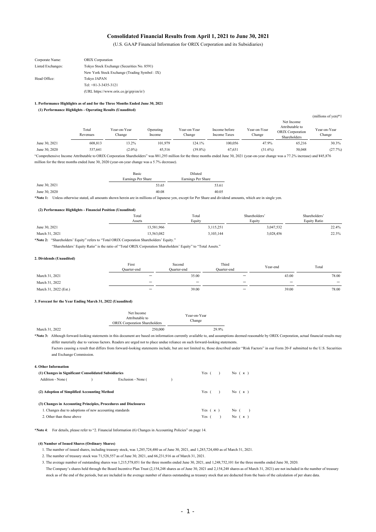#### **Consolidated Financial Results from April 1, 2021 to June 30, 2021**

(U.S. GAAP Financial Information for ORIX Corporation and its Subsidiaries)

| Corporate Name:   | <b>ORIX</b> Corporation                      |
|-------------------|----------------------------------------------|
| Listed Exchanges: | Tokyo Stock Exchange (Securities No. 8591)   |
|                   | New York Stock Exchange (Trading Symbol: IX) |
| Head Office:      | Tokyo JAPAN                                  |
|                   | Tel: +81-3-3435-3121                         |
|                   | (URL https://www.orix.co.jp/grp/en/ir/)      |

#### **1. Performance Highlights as of and for the Three Months Ended June 30, 2021**

**(1) Performance Highlights - Operating Results (Unaudited)**

|               | Total<br>Revenues | Year-on-Year<br>Change | Operating<br>Income | Year-on-Year<br>Change | Income before<br><b>Income Taxes</b> | Year-on-Year<br>Change | Net Income<br>Attributable to<br><b>ORIX</b> Corporation<br>Shareholders | (millions of yen) $*1$<br>Year-on-Year<br>Change |
|---------------|-------------------|------------------------|---------------------|------------------------|--------------------------------------|------------------------|--------------------------------------------------------------------------|--------------------------------------------------|
| June 30, 2021 | 608.813           | 13.2%                  | 101.979             | 124.1%                 | 100.056                              | 47.9%                  | 65.216                                                                   | 30.3%                                            |
| June 30, 2020 | 537.641           | $(2.0\%)$              | 45.516              | $(39.8\%)$             | 67.631                               | $(31.6\%)$             | 50,048                                                                   | (27.7%)                                          |
|               |                   |                        |                     |                        |                                      |                        |                                                                          |                                                  |

"Comprehensive Income Attributable to ORIX Corporation Shareholders" was ¥81,293 million for the three months ended June 30, 2021 (year-on-year change was a 77.2% increase) and ¥45,876 million for the three months ended June 30, 2020 (year-on-year change was a 5.7% decrease).

|               | Basic              | Diluted                          |
|---------------|--------------------|----------------------------------|
|               | Earnings Per Share | Earnings Per Share               |
| June 30, 2021 | 53.65              | 53.61                            |
| June 30, 2020 | 40.08              | 40.05                            |
| .             | <br>$\sim$ $\sim$  | .<br>$\sim$ $\sim$ $\sim$ $\sim$ |

**\*Note 1:** Unless otherwise stated, all amounts shown herein are in millions of Japanese yen, except for Per Share and dividend amounts, which are in single yen.

#### **(2) Performance Highlights - Financial Position (Unaudited)**

|                                                                                          | Total      | Total     | Shareholders' | Shareholders' |
|------------------------------------------------------------------------------------------|------------|-----------|---------------|---------------|
|                                                                                          | Assets     | Equity    | Equity        | Equity Ratio  |
| June 30, 2021                                                                            | 13.581.966 | 3.115.251 | 3,047,532     | 22.4%         |
| March 31, 2021                                                                           | 13.563.082 | 3.103.144 | 3,028,456     | 22.3%         |
| *Note 2: "Shareholders' Equity" refers to "Total ORIX Corporation Shareholders' Equity." |            |           |               |               |

"Shareholders' Equity Ratio" is the ratio of "Total ORIX Corporation Shareholders' Equity" to "Total Assets."

#### **2. Dividends (Unaudited)**

|                       | $\mathbf{r}$<br>First<br>Duarter-end | Second<br>Ouarter-end           | Third<br>Ouarter-end     | Year-end                        | Total                    |
|-----------------------|--------------------------------------|---------------------------------|--------------------------|---------------------------------|--------------------------|
| March 31, 2021        |                                      | 35.00                           |                          | 43.00                           | 78.00                    |
| March 31, 2022        | $\overline{\phantom{0}}$             | $\hspace{0.1mm}-\hspace{0.1mm}$ | $\overline{\phantom{0}}$ | $\hspace{0.1mm}-\hspace{0.1mm}$ | $\overline{\phantom{0}}$ |
| March 31, 2022 (Est.) |                                      | 39.00                           | $\overline{\phantom{m}}$ | 39.00                           | 78.00                    |

#### **3. Forecast for the Year Ending March 31, 2022 (Unaudited)**

|                | Net Income<br>Attributable to<br><b>ORIX Corporation Shareholders</b> | Year-on-Year<br>Change |
|----------------|-----------------------------------------------------------------------|------------------------|
| March 31, 2022 | 250,000                                                               | 29.9%                  |

**\*Note 3:** Although forward-looking statements in this document are based on information currently available to, and assumptions deemed reasonable by ORIX Corporation, actual financial results may differ materially due to various factors. Readers are urged not to place undue reliance on such forward-looking statements.

Factors causing a result that differs from forward-looking statements include, but are not limited to, those described under "Risk Factors" in our Form 20-F submitted to the U.S. Securities and Exchange Commission.

| 4. Other Information                                             |                    |                      |  |
|------------------------------------------------------------------|--------------------|----------------------|--|
| (1) Changes in Significant Consolidated Subsidiaries             |                    | Yes $( )$ No $( x )$ |  |
| Addition - None ()                                               | Exclusion - None ( |                      |  |
| (2) Adoption of Simplified Accounting Method                     |                    | Yes $( )$ No $( x )$ |  |
| (3) Changes in Accounting Principles, Procedures and Disclosures |                    |                      |  |
| 1. Changes due to adoptions of new accounting standards          |                    | Yes $(x)$ No $($ )   |  |
| 2. Other than those above                                        |                    | Yes $( )$ No $( x )$ |  |

**\*Note 4**: For details, please refer to "2. Financial Information (6) Changes in Accounting Policies" on page 14.

#### **(4) Number of Issued Shares (Ordinary Shares)**

1. The number of issued shares, including treasury stock, was 1,285,724,480 as of June 30, 2021, and 1,285,724,480 as of March 31, 2021.

2. The number of treasury stock was 71,528,557 as of June 30, 2021, and 66,231,916 as of March 31, 2021.

3. The average number of outstanding shares was 1,215,578,051 for the three months ended June 30, 2021, and 1,248,752,101 for the three months ended June 30, 2020. The Company's shares held through the Board Incentive Plan Trust (2,154,248 shares as of June 30, 2021 and 2,154,248 shares as of March 31, 2021) are not included in the number of treasury stock as of the end of the periods, but are included in the average number of shares outstanding as treasury stock that are deducted from the basis of the calculation of per share data.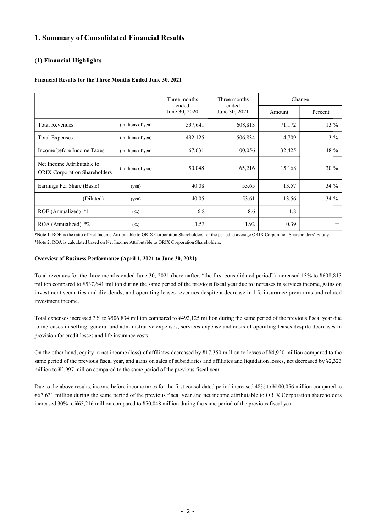# **1. Summary of Consolidated Financial Results**

## **(1) Financial Highlights**

### **Financial Results for the Three Months Ended June 30, 2021**

|                                                                    |                   | Three months<br>ended | Three months<br>ended | Change |         |
|--------------------------------------------------------------------|-------------------|-----------------------|-----------------------|--------|---------|
|                                                                    |                   | June 30, 2020         | June 30, 2021         | Amount | Percent |
| <b>Total Revenues</b>                                              | (millions of yen) | 537,641               | 608,813               | 71,172 | 13 %    |
| <b>Total Expenses</b>                                              | (millions of yen) | 492,125               | 506,834               | 14,709 | $3\%$   |
| Income before Income Taxes                                         | (millions of yen) | 67,631                | 100,056               | 32,425 | 48 %    |
| Net Income Attributable to<br><b>ORIX Corporation Shareholders</b> | (millions of yen) | 50,048                | 65,216                | 15,168 | $30 \%$ |
| Earnings Per Share (Basic)                                         | $($ yen $)$       | 40.08                 | 53.65                 | 13.57  | 34 %    |
| (Diluted)                                                          | (yen)             | 40.05                 | 53.61                 | 13.56  | $34\%$  |
| ROE (Annualized) *1                                                | $(\%)$            | 6.8                   | 8.6                   | 1.8    |         |
| ROA (Annualized) *2                                                | $(\% )$           | 1.53                  | 1.92                  | 0.39   |         |

\*Note 1: ROE is the ratio of Net Income Attributable to ORIX Corporation Shareholders for the period to average ORIX Corporation Shareholders' Equity. \*Note 2: ROA is calculated based on Net Income Attributable to ORIX Corporation Shareholders.

#### **Overview of Business Performance (April 1, 2021 to June 30, 2021)**

Total revenues for the three months ended June 30, 2021 (hereinafter, "the first consolidated period") increased 13% to ¥608,813 million compared to ¥537,641 million during the same period of the previous fiscal year due to increases in services income, gains on investment securities and dividends, and operating leases revenues despite a decrease in life insurance premiums and related investment income.

Total expenses increased 3% to ¥506,834 million compared to ¥492,125 million during the same period of the previous fiscal year due to increases in selling, general and administrative expenses, services expense and costs of operating leases despite decreases in provision for credit losses and life insurance costs.

On the other hand, equity in net income (loss) of affiliates decreased by ¥17,350 million to losses of ¥4,920 million compared to the same period of the previous fiscal year, and gains on sales of subsidiaries and affiliates and liquidation losses, net decreased by ¥2,323 million to ¥2,997 million compared to the same period of the previous fiscal year.

Due to the above results, income before income taxes for the first consolidated period increased 48% to ¥100,056 million compared to ¥67,631 million during the same period of the previous fiscal year and net income attributable to ORIX Corporation shareholders increased 30% to ¥65,216 million compared to ¥50,048 million during the same period of the previous fiscal year.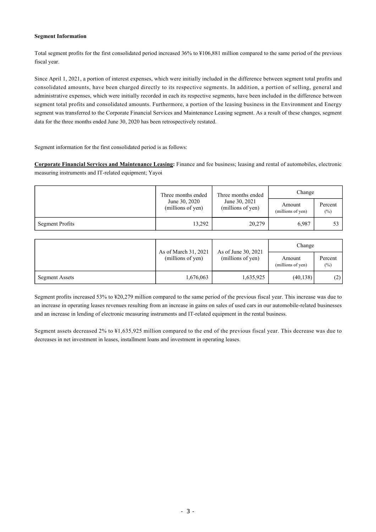### **Segment Information**

Total segment profits for the first consolidated period increased 36% to ¥106,881 million compared to the same period of the previous fiscal year.

Since April 1, 2021, a portion of interest expenses, which were initially included in the difference between segment total profits and consolidated amounts, have been charged directly to its respective segments. In addition, a portion of selling, general and administrative expenses, which were initially recorded in each its respective segments, have been included in the difference between segment total profits and consolidated amounts. Furthermore, a portion of the leasing business in the Environment and Energy segment was transferred to the Corporate Financial Services and Maintenance Leasing segment. As a result of these changes, segment data for the three months ended June 30, 2020 has been retrospectively restated.

Segment information for the first consolidated period is as follows:

**Corporate Financial Services and Maintenance Leasing:** Finance and fee business; leasing and rental of automobiles, electronic measuring instruments and IT-related equipment; Yayoi

|                        | Three months ended                 | Three months ended                 | Change                      |                   |  |
|------------------------|------------------------------------|------------------------------------|-----------------------------|-------------------|--|
|                        | June 30, 2020<br>(millions of yen) | June 30, 2021<br>(millions of yen) | Amount<br>(millions of yen) | Percent<br>$(\%)$ |  |
| <b>Segment Profits</b> | 13,292                             | 20,279                             | 6,987                       | 53                |  |

|                | As of March 31, 2021<br>(millions of yen) | As of June 30, 2021<br>(millions of yen) | Change                      |                   |  |
|----------------|-------------------------------------------|------------------------------------------|-----------------------------|-------------------|--|
|                |                                           |                                          | Amount<br>(millions of yen) | Percent<br>$(\%)$ |  |
| Segment Assets | 1,676,063                                 | ,635,925                                 | (40, 138)                   | (2)               |  |

Segment profits increased 53% to ¥20,279 million compared to the same period of the previous fiscal year. This increase was due to an increase in operating leases revenues resulting from an increase in gains on sales of used cars in our automobile-related businesses and an increase in lending of electronic measuring instruments and IT-related equipment in the rental business.

Segment assets decreased 2% to ¥1,635,925 million compared to the end of the previous fiscal year. This decrease was due to decreases in net investment in leases, installment loans and investment in operating leases.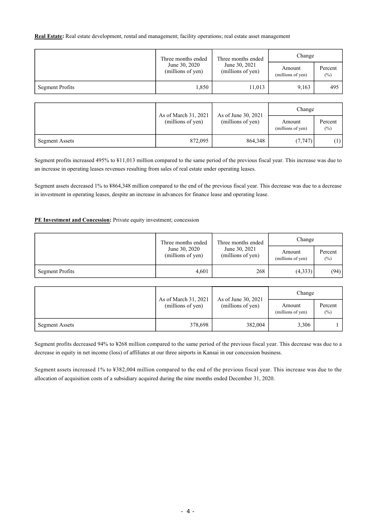**Real Estate:** Real estate development, rental and management; facility operations; real estate asset management

|                 | Three months ended                 | Three months ended                 | Change                      |                   |
|-----------------|------------------------------------|------------------------------------|-----------------------------|-------------------|
|                 | June 30, 2020<br>(millions of yen) | June 30, 2021<br>(millions of yen) | Amount<br>(millions of yen) | Percent<br>$(\%)$ |
| Segment Profits | 1,850                              | 11,013                             | 9,163                       | 495               |

|                       |                                           |                                          | Change                      |                   |
|-----------------------|-------------------------------------------|------------------------------------------|-----------------------------|-------------------|
|                       | As of March 31, 2021<br>(millions of yen) | As of June 30, 2021<br>(millions of yen) | Amount<br>(millions of yen) | Percent<br>$(\%)$ |
| <b>Segment Assets</b> | 872,095                                   | 864,348                                  | (7, 747)                    | $\left(1\right)$  |

Segment profits increased 495% to ¥11,013 million compared to the same period of the previous fiscal year. This increase was due to an increase in operating leases revenues resulting from sales of real estate under operating leases.

Segment assets decreased 1% to ¥864,348 million compared to the end of the previous fiscal year. This decrease was due to a decrease in investment in operating leases, despite an increase in advances for finance lease and operating lease.

### **PE Investment and Concession:** Private equity investment; concession

|                 | Three months ended                 | Three months ended                 | Change                      |                   |
|-----------------|------------------------------------|------------------------------------|-----------------------------|-------------------|
|                 | June 30, 2020<br>(millions of yen) | June 30, 2021<br>(millions of yen) | Amount<br>(millions of yen) | Percent<br>$(\%)$ |
| Segment Profits | 4.601                              | 268                                | (4,333)                     | (94)              |

|                |                                           |                                          | Change                      |                   |
|----------------|-------------------------------------------|------------------------------------------|-----------------------------|-------------------|
|                | As of March 31, 2021<br>(millions of yen) | As of June 30, 2021<br>(millions of yen) | Amount<br>(millions of yen) | Percent<br>$(\%)$ |
| Segment Assets | 378,698                                   | 382,004                                  | 3,306                       |                   |

Segment profits decreased 94% to ¥268 million compared to the same period of the previous fiscal year. This decrease was due to a decrease in equity in net income (loss) of affiliates at our three airports in Kansai in our concession business.

Segment assets increased 1% to ¥382,004 million compared to the end of the previous fiscal year. This increase was due to the allocation of acquisition costs of a subsidiary acquired during the nine months ended December 31, 2020.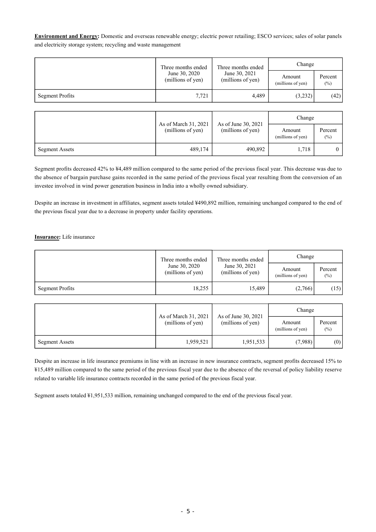**Environment and Energy:** Domestic and overseas renewable energy; electric power retailing; ESCO services; sales of solar panels and electricity storage system; recycling and waste management

|                        | Three months ended                 | Three months ended                 | Change                      |                   |
|------------------------|------------------------------------|------------------------------------|-----------------------------|-------------------|
|                        | June 30, 2020<br>(millions of yen) | June 30, 2021<br>(millions of yen) | Amount<br>(millions of yen) | Percent<br>$(\%)$ |
| <b>Segment Profits</b> | 7,721                              | 4,489                              | (3,232)                     | (42)              |

|                       |                                           | As of June 30, 2021 | Change                      |                   |
|-----------------------|-------------------------------------------|---------------------|-----------------------------|-------------------|
|                       | As of March 31, 2021<br>(millions of yen) | (millions of yen)   | Amount<br>(millions of yen) | Percent<br>$(\%)$ |
| <b>Segment Assets</b> | 489,174                                   | 490,892             | 1.718                       |                   |

Segment profits decreased 42% to ¥4,489 million compared to the same period of the previous fiscal year. This decrease was due to the absence of bargain purchase gains recorded in the same period of the previous fiscal year resulting from the conversion of an investee involved in wind power generation business in India into a wholly owned subsidiary.

Despite an increase in investment in affiliates, segment assets totaled ¥490,892 million, remaining unchanged compared to the end of the previous fiscal year due to a decrease in property under facility operations.

### **Insurance:** Life insurance

|                 | Three months ended<br>June 30, 2020<br>(millions of yen) | Three months ended                 | Change                      |                   |
|-----------------|----------------------------------------------------------|------------------------------------|-----------------------------|-------------------|
|                 |                                                          | June 30, 2021<br>(millions of yen) | Amount<br>(millions of yen) | Percent<br>$(\%)$ |
| Segment Profits | 18,255                                                   | 15,489                             | (2,766)                     | (15)              |

|                | As of March 31, 2021 | As of June 30, 2021 | Change                      |                   |
|----------------|----------------------|---------------------|-----------------------------|-------------------|
|                | (millions of yen)    | (millions of yen)   | Amount<br>(millions of yen) | Percent<br>$(\%)$ |
| Segment Assets | 1,959,521            | 1,951,533           | (7,988)                     | (0)               |

Despite an increase in life insurance premiums in line with an increase in new insurance contracts, segment profits decreased 15% to ¥15,489 million compared to the same period of the previous fiscal year due to the absence of the reversal of policy liability reserve related to variable life insurance contracts recorded in the same period of the previous fiscal year.

Segment assets totaled ¥1,951,533 million, remaining unchanged compared to the end of the previous fiscal year.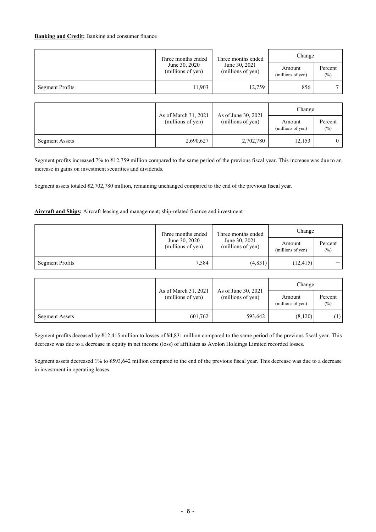### **Banking and Credit:** Banking and consumer finance

|                        | Three months ended<br>Three months ended | Change                             |                             |                   |
|------------------------|------------------------------------------|------------------------------------|-----------------------------|-------------------|
|                        | June 30, 2020<br>(millions of yen)       | June 30, 2021<br>(millions of yen) | Amount<br>(millions of yen) | Percent<br>$(\%)$ |
| <b>Segment Profits</b> | 11,903                                   | 12,759                             | 856                         |                   |
|                        |                                          |                                    |                             |                   |

|                |                                           | As of June 30, 2021 | Change                                |         |
|----------------|-------------------------------------------|---------------------|---------------------------------------|---------|
|                | As of March 31, 2021<br>(millions of yen) | (millions of yen)   | Amount<br>(millions of yen)<br>$(\%)$ | Percent |
| Segment Assets | 2,690,627                                 | 2,702,780           | 12,153                                |         |

Segment profits increased 7% to ¥12,759 million compared to the same period of the previous fiscal year. This increase was due to an increase in gains on investment securities and dividends.

Segment assets totaled ¥2,702,780 million, remaining unchanged compared to the end of the previous fiscal year.

### **Aircraft and Ships:** Aircraft leasing and management; ship-related finance and investment

|                 | Three months ended                 | Three months ended                 | Change                      |                   |
|-----------------|------------------------------------|------------------------------------|-----------------------------|-------------------|
|                 | June 30, 2020<br>(millions of yen) | June 30, 2021<br>(millions of yen) | Amount<br>(millions of yen) | Percent<br>$(\%)$ |
| Segment Profits | 7,584                              | (4,831)                            | (12, 415)                   |                   |

|                |                                           | As of June 30, 2021<br>(millions of yen) | Change                      |                   |
|----------------|-------------------------------------------|------------------------------------------|-----------------------------|-------------------|
|                | As of March 31, 2021<br>(millions of yen) |                                          | Amount<br>(millions of yen) | Percent<br>$(\%)$ |
| Segment Assets | 601,762                                   | 593,642                                  | (8,120)                     | (1)               |

Segment profits deceased by ¥12,415 million to losses of ¥4,831 million compared to the same period of the previous fiscal year. This decrease was due to a decrease in equity in net income (loss) of affiliates as Avolon Holdings Limited recorded losses.

Segment assets decreased 1% to ¥593,642 million compared to the end of the previous fiscal year. This decrease was due to a decrease in investment in operating leases.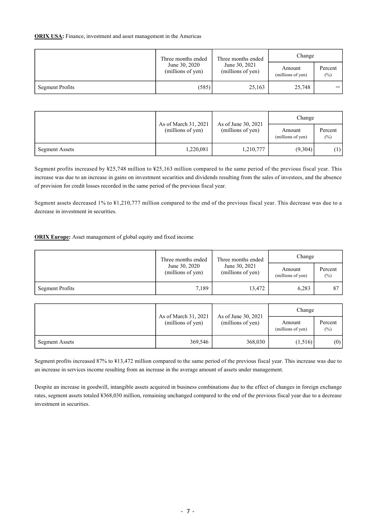### **ORIX USA:** Finance, investment and asset management in the Americas

|                        | Three months ended                 | Three months ended                 | Change                      |                   |
|------------------------|------------------------------------|------------------------------------|-----------------------------|-------------------|
|                        | June 30, 2020<br>(millions of yen) | June 30, 2021<br>(millions of yen) | Amount<br>(millions of yen) | Percent<br>$(\%)$ |
| <b>Segment Profits</b> | (585)                              | 25,163                             | 25,748                      |                   |

|                |                                           |                                          | Change                      |                   |
|----------------|-------------------------------------------|------------------------------------------|-----------------------------|-------------------|
|                | As of March 31, 2021<br>(millions of yen) | As of June 30, 2021<br>(millions of yen) | Amount<br>(millions of yen) | Percent<br>$(\%)$ |
| Segment Assets | 1,220,081                                 | 1,210,777                                | (9,304)                     | (1)               |

Segment profits increased by ¥25,748 million to ¥25,163 million compared to the same period of the previous fiscal year. This increase was due to an increase in gains on investment securities and dividends resulting from the sales of investees, and the absence of provision for credit losses recorded in the same period of the previous fiscal year.

Segment assets decreased 1% to ¥1,210,777 million compared to the end of the previous fiscal year. This decrease was due to a decrease in investment in securities.

## **ORIX Europe:** Asset management of global equity and fixed income

|                        | Three months ended                 | Three months ended<br>June 30, 2021<br>(millions of yen) | Change                      |                   |
|------------------------|------------------------------------|----------------------------------------------------------|-----------------------------|-------------------|
|                        | June 30, 2020<br>(millions of yen) |                                                          | Amount<br>(millions of yen) | Percent<br>$(\%)$ |
| <b>Segment Profits</b> | 7,189                              | 13,472                                                   | 6,283                       | 87                |

|                |                                           | As of June 30, 2021<br>(millions of yen) | Change                      |                   |  |
|----------------|-------------------------------------------|------------------------------------------|-----------------------------|-------------------|--|
|                | As of March 31, 2021<br>(millions of yen) |                                          | Amount<br>(millions of yen) | Percent<br>$(\%)$ |  |
| Segment Assets | 369,546                                   | 368,030                                  | (1,516)                     | (0)               |  |

Segment profits increased 87% to ¥13,472 million compared to the same period of the previous fiscal year. This increase was due to an increase in services income resulting from an increase in the average amount of assets under management.

Despite an increase in goodwill, intangible assets acquired in business combinations due to the effect of changes in foreign exchange rates, segment assets totaled ¥368,030 million, remaining unchanged compared to the end of the previous fiscal year due to a decrease investment in securities.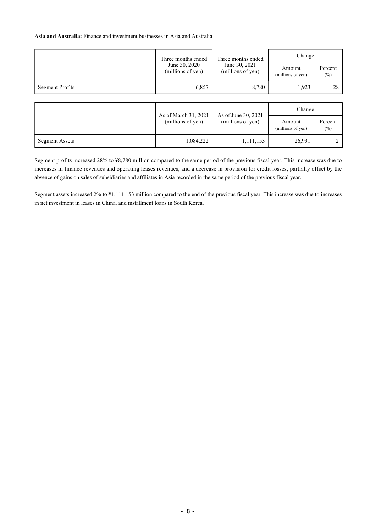#### **Asia and Australia:** Finance and investment businesses in Asia and Australia

|                 | Three months ended                                                                    | Three months ended                 | Change                      |                   |
|-----------------|---------------------------------------------------------------------------------------|------------------------------------|-----------------------------|-------------------|
|                 | June 30, 2020<br>(millions of yen)                                                    | June 30, 2021<br>(millions of yen) | Amount<br>(millions of yen) | Percent<br>$(\%)$ |
| Segment Profits | 6,857                                                                                 | 8,780                              | 1,923<br>28                 |                   |
|                 |                                                                                       |                                    |                             |                   |
|                 |                                                                                       | Change                             |                             |                   |
|                 | As of March 31, 2021<br>As of June 30, 2021<br>(millions of yen)<br>(millions of yen) |                                    | Amount<br>(millions of yen) | Percent<br>$(\%)$ |
| Segment Assets  | 1,084,222                                                                             | 1,111,153                          | 26,931                      | $\bigcirc$        |

Segment profits increased 28% to ¥8,780 million compared to the same period of the previous fiscal year. This increase was due to increases in finance revenues and operating leases revenues, and a decrease in provision for credit losses, partially offset by the absence of gains on sales of subsidiaries and affiliates in Asia recorded in the same period of the previous fiscal year.

Segment assets increased 2% to ¥1,111,153 million compared to the end of the previous fiscal year. This increase was due to increases in net investment in leases in China, and installment loans in South Korea.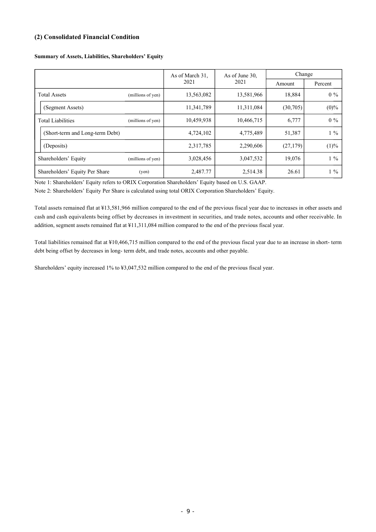## **(2) Consolidated Financial Condition**

|                                 |                   | As of March 31. | As of June 30, | Change    |         |
|---------------------------------|-------------------|-----------------|----------------|-----------|---------|
|                                 |                   | 2021            | 2021           | Amount    | Percent |
| <b>Total Assets</b>             | (millions of yen) | 13,563,082      | 13,581,966     | 18,884    | $0\%$   |
| (Segment Assets)                |                   | 11,341,789      | 11,311,084     | (30,705)  | $(0)\%$ |
| <b>Total Liabilities</b>        | (millions of yen) | 10,459,938      | 10,466,715     | 6,777     | $0\%$   |
| (Short-term and Long-term Debt) |                   | 4,724,102       | 4,775,489      | 51,387    | $1\%$   |
| (Deposits)                      |                   | 2,317,785       | 2,290,606      | (27, 179) | (1)%    |
| Shareholders' Equity            | (millions of yen) | 3,028,456       | 3,047,532      | 19,076    | $1\%$   |
| Shareholders' Equity Per Share  | (yen)             | 2,487.77        | 2,514.38       | 26.61     | $1\%$   |

#### **Summary of Assets, Liabilities, Shareholders' Equity**

Note 1: Shareholders' Equity refers to ORIX Corporation Shareholders' Equity based on U.S. GAAP.

Note 2: Shareholders' Equity Per Share is calculated using total ORIX Corporation Shareholders' Equity.

Total assets remained flat at ¥13,581,966 million compared to the end of the previous fiscal year due to increases in other assets and cash and cash equivalents being offset by decreases in investment in securities, and trade notes, accounts and other receivable. In addition, segment assets remained flat at ¥11,311,084 million compared to the end of the previous fiscal year.

Total liabilities remained flat at ¥10,466,715 million compared to the end of the previous fiscal year due to an increase in short- term debt being offset by decreases in long- term debt, and trade notes, accounts and other payable.

Shareholders' equity increased 1% to ¥3,047,532 million compared to the end of the previous fiscal year.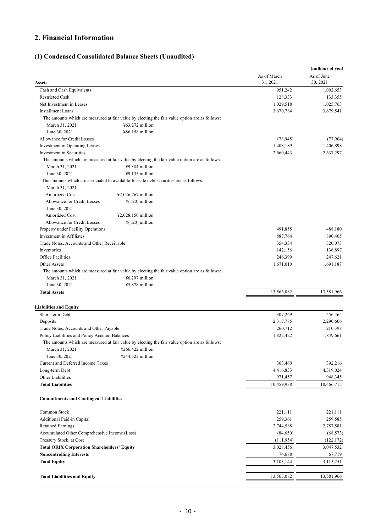# **2. Financial Information**

# **(1) Condensed Consolidated Balance Sheets (Unaudited)**

|                                                            |                                                                                                |                        | (millions of yen)      |
|------------------------------------------------------------|------------------------------------------------------------------------------------------------|------------------------|------------------------|
|                                                            |                                                                                                | As of March            | As of June             |
| Assets                                                     |                                                                                                | 31, 2021               | 30, 2021               |
| Cash and Cash Equivalents                                  |                                                                                                | 951,242                | 1,002,653              |
| Restricted Cash                                            |                                                                                                | 128,333                | 133,355                |
| Net Investment in Leases                                   |                                                                                                | 1,029,518              | 1,025,763              |
| <b>Installment Loans</b>                                   |                                                                                                | 3,670,784              | 3,679,541              |
|                                                            | The amounts which are measured at fair value by electing the fair value option are as follows: |                        |                        |
| March 31, 2021                                             | $463,272$ million                                                                              |                        |                        |
| June 30, 2021                                              | ¥86,158 million                                                                                |                        |                        |
| Allowance for Credit Losses                                |                                                                                                | (78, 945)              | (77, 904)              |
| Investment in Operating Leases<br>Investment in Securities |                                                                                                | 1,408,189<br>2,660,443 | 1,406,898<br>2,637,297 |
|                                                            | The amounts which are measured at fair value by electing the fair value option are as follows: |                        |                        |
| March 31, 2021                                             | ¥9,384 million                                                                                 |                        |                        |
| June 30, 2021                                              | $49,135$ million                                                                               |                        |                        |
|                                                            | The amounts which are associated to available-for-sale debt securities are as follows:         |                        |                        |
| March 31, 2021                                             |                                                                                                |                        |                        |
| <b>Amortized Cost</b>                                      | ¥2,026,767 million                                                                             |                        |                        |
| Allowance for Credit Losses<br>June 30, 2021               | $\frac{1}{2}$ (120) million                                                                    |                        |                        |
| <b>Amortized Cost</b>                                      | ¥2,028,150 million                                                                             |                        |                        |
| Allowance for Credit Losses                                | $\frac{1}{2}$ (120) million                                                                    |                        |                        |
| Property under Facility Operations                         |                                                                                                | 491,855                | 488,180                |
| Investment in Affiliates                                   |                                                                                                | 887,764                | 890,405                |
| Trade Notes, Accounts and Other Receivable                 |                                                                                                | 354,334                | 320,073                |
| Inventories                                                |                                                                                                | 142,156                | 136,897                |
| <b>Office Facilities</b>                                   |                                                                                                | 246,399                | 247,621                |
| Other Assets                                               |                                                                                                | 1,671,010              | 1,691,187              |
|                                                            | The amounts which are measured at fair value by electing the fair value option are as follows: |                        |                        |
| March 31, 2021                                             | ¥6,297 million                                                                                 |                        |                        |
| June 30, 2021                                              | ¥5,878 million                                                                                 |                        |                        |
| <b>Total Assets</b>                                        |                                                                                                | 13,563,082             | 13,581,966             |
| <b>Liabilities and Equity</b>                              |                                                                                                |                        |                        |
| Short-term Debt                                            |                                                                                                | 307,269                | 456,465                |
| Deposits                                                   |                                                                                                | 2,317,785              | 2,290,606              |
| Trade Notes, Accounts and Other Payable                    |                                                                                                | 260,712                | 210,398                |
| Policy Liabilities and Policy Account Balances             |                                                                                                | 1,822,422              | 1,849,661              |
|                                                            | The amounts which are measured at fair value by electing the fair value option are as follows: |                        |                        |
| March 31, 2021                                             | $\text{\#266,422}$ million                                                                     |                        |                        |
| June 30, 2021                                              | $4244,523$ million                                                                             |                        |                        |
| Current and Deferred Income Taxes                          |                                                                                                | 363,460                | 392,216                |
| Long-term Debt                                             |                                                                                                | 4,416,833              | 4,319,024              |
| Other Liabilities                                          |                                                                                                | 971,457                | 948,345                |
| <b>Total Liabilities</b>                                   |                                                                                                | 10,459,938             | 10,466,715             |
| <b>Commitments and Contingent Liabilities</b>              |                                                                                                |                        |                        |
| Common Stock                                               |                                                                                                | 221,111                | 221,111                |
| Additional Paid-in Capital                                 |                                                                                                | 259,361                | 259,585                |
| <b>Retained Earnings</b>                                   |                                                                                                | 2,744,588              | 2,757,581              |
| Accumulated Other Comprehensive Income (Loss)              |                                                                                                | (84,650)               | (68, 573)              |
| Treasury Stock, at Cost                                    |                                                                                                | (111, 954)             | (122, 172)             |
| <b>Total ORIX Corporation Shareholders' Equity</b>         |                                                                                                | 3,028,456              | 3,047,532              |
| <b>Noncontrolling Interests</b>                            |                                                                                                | 74,688                 | 67,719                 |
| <b>Total Equity</b>                                        |                                                                                                | 3,103,144              | 3,115,251              |
| <b>Total Liabilities and Equity</b>                        |                                                                                                | 13,563,082             | 13,581,966             |
|                                                            |                                                                                                |                        |                        |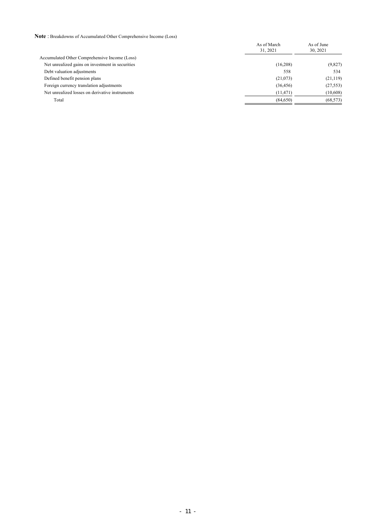**Note** : Breakdowns of Accumulated Other Comprehensive Income (Loss)

|                                                  | As of March<br>31.2021 | As of June<br>30, 2021 |
|--------------------------------------------------|------------------------|------------------------|
| Accumulated Other Comprehensive Income (Loss)    |                        |                        |
| Net unrealized gains on investment in securities | (16,208)               | (9,827)                |
| Debt valuation adjustments                       | 558                    | 534                    |
| Defined benefit pension plans                    | (21,073)               | (21, 119)              |
| Foreign currency translation adjustments         | (36, 456)              | (27, 553)              |
| Net unrealized losses on derivative instruments  | (11, 471)              | (10,608)               |
| Total                                            | (84,650)               | (68, 573)              |
|                                                  |                        |                        |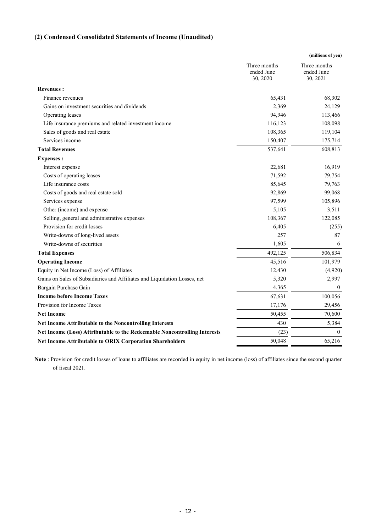# **(2) Condensed Consolidated Statements of Income (Unaudited)**

|                                                                           |                                        | (millions of yen)                      |
|---------------------------------------------------------------------------|----------------------------------------|----------------------------------------|
|                                                                           | Three months<br>ended June<br>30, 2020 | Three months<br>ended June<br>30, 2021 |
| <b>Revenues:</b>                                                          |                                        |                                        |
| Finance revenues                                                          | 65,431                                 | 68,302                                 |
| Gains on investment securities and dividends                              | 2,369                                  | 24,129                                 |
| Operating leases                                                          | 94,946                                 | 113,466                                |
| Life insurance premiums and related investment income                     | 116,123                                | 108,098                                |
| Sales of goods and real estate                                            | 108,365                                | 119,104                                |
| Services income                                                           | 150,407                                | 175,714                                |
| <b>Total Revenues</b>                                                     | 537,641                                | 608,813                                |
| <b>Expenses:</b>                                                          |                                        |                                        |
| Interest expense                                                          | 22,681                                 | 16,919                                 |
| Costs of operating leases                                                 | 71,592                                 | 79,754                                 |
| Life insurance costs                                                      | 85,645                                 | 79,763                                 |
| Costs of goods and real estate sold                                       | 92,869                                 | 99,068                                 |
| Services expense                                                          | 97,599                                 | 105,896                                |
| Other (income) and expense                                                | 5,105                                  | 3,511                                  |
| Selling, general and administrative expenses                              | 108,367                                | 122,085                                |
| Provision for credit losses                                               | 6,405                                  | (255)                                  |
| Write-downs of long-lived assets                                          | 257                                    | 87                                     |
| Write-downs of securities                                                 | 1,605                                  | 6                                      |
| <b>Total Expenses</b>                                                     | 492,125                                | 506,834                                |
| <b>Operating Income</b>                                                   | 45,516                                 | 101,979                                |
| Equity in Net Income (Loss) of Affiliates                                 | 12,430                                 | (4,920)                                |
| Gains on Sales of Subsidiaries and Affiliates and Liquidation Losses, net | 5,320                                  | 2,997                                  |
| Bargain Purchase Gain                                                     | 4,365                                  | $\theta$                               |
| <b>Income before Income Taxes</b>                                         | 67,631                                 | 100,056                                |
| Provision for Income Taxes                                                | 17,176                                 | 29,456                                 |
| <b>Net Income</b>                                                         | 50,455                                 | 70,600                                 |
| Net Income Attributable to the Noncontrolling Interests                   | 430                                    | 5,384                                  |
| Net Income (Loss) Attributable to the Redeemable Noncontrolling Interests | (23)                                   | $\theta$                               |
| Net Income Attributable to ORIX Corporation Shareholders                  | 50,048                                 | 65,216                                 |
|                                                                           |                                        |                                        |

**Note** : Provision for credit losses of loans to affiliates are recorded in equity in net income (loss) of affiliates since the second quarter of fiscal 2021.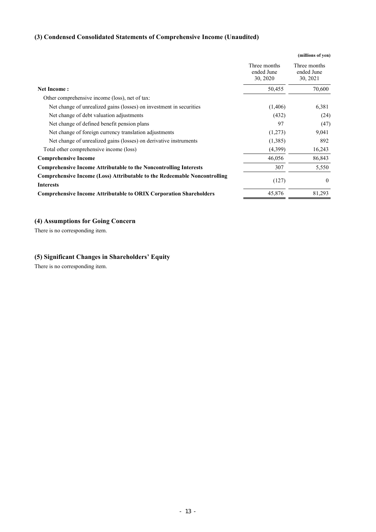# **(3) Condensed Consolidated Statements of Comprehensive Income (Unaudited)**

|                                                                                                      |                                        | (millions of yen)                      |
|------------------------------------------------------------------------------------------------------|----------------------------------------|----------------------------------------|
|                                                                                                      | Three months<br>ended June<br>30, 2020 | Three months<br>ended June<br>30, 2021 |
| <b>Net Income:</b>                                                                                   | 50,455                                 | 70,600                                 |
| Other comprehensive income (loss), net of tax:                                                       |                                        |                                        |
| Net change of unrealized gains (losses) on investment in securities                                  | (1,406)                                | 6,381                                  |
| Net change of debt valuation adjustments                                                             | (432)                                  | (24)                                   |
| Net change of defined benefit pension plans                                                          | 97                                     | (47)                                   |
| Net change of foreign currency translation adjustments                                               | (1,273)                                | 9,041                                  |
| Net change of unrealized gains (losses) on derivative instruments                                    | (1,385)                                | 892                                    |
| Total other comprehensive income (loss)                                                              | (4,399)                                | 16,243                                 |
| <b>Comprehensive Income</b>                                                                          | 46,056                                 | 86,843                                 |
| <b>Comprehensive Income Attributable to the Noncontrolling Interests</b>                             | 307                                    | 5,550                                  |
| <b>Comprehensive Income (Loss) Attributable to the Redeemable Noncontrolling</b><br><b>Interests</b> | (127)                                  | $\theta$                               |
| <b>Comprehensive Income Attributable to ORIX Corporation Shareholders</b>                            | 45,876                                 | 81,293                                 |

## **(4) Assumptions for Going Concern**

There is no corresponding item.

# **(5) Significant Changes in Shareholders' Equity**

There is no corresponding item.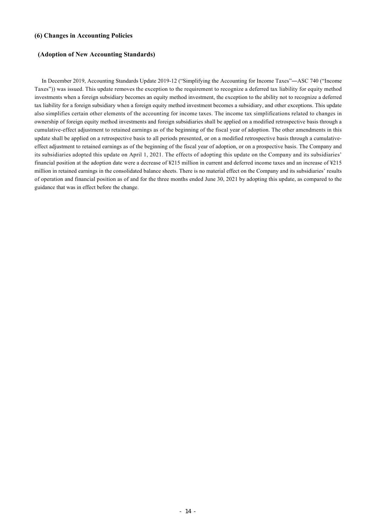## **(6) Changes in Accounting Policies**

### **(Adoption of New Accounting Standards)**

 In December 2019, Accounting Standards Update 2019-12 ("Simplifying the Accounting for Income Taxes"―ASC 740 ("Income Taxes")) was issued. This update removes the exception to the requirement to recognize a deferred tax liability for equity method investments when a foreign subsidiary becomes an equity method investment, the exception to the ability not to recognize a deferred tax liability for a foreign subsidiary when a foreign equity method investment becomes a subsidiary, and other exceptions. This update also simplifies certain other elements of the accounting for income taxes. The income tax simplifications related to changes in ownership of foreign equity method investments and foreign subsidiaries shall be applied on a modified retrospective basis through a cumulative-effect adjustment to retained earnings as of the beginning of the fiscal year of adoption. The other amendments in this update shall be applied on a retrospective basis to all periods presented, or on a modified retrospective basis through a cumulativeeffect adjustment to retained earnings as of the beginning of the fiscal year of adoption, or on a prospective basis. The Company and its subsidiaries adopted this update on April 1, 2021. The effects of adopting this update on the Company and its subsidiaries' financial position at the adoption date were a decrease of ¥215 million in current and deferred income taxes and an increase of ¥215 million in retained earnings in the consolidated balance sheets. There is no material effect on the Company and its subsidiaries' results of operation and financial position as of and for the three months ended June 30, 2021 by adopting this update, as compared to the guidance that was in effect before the change.